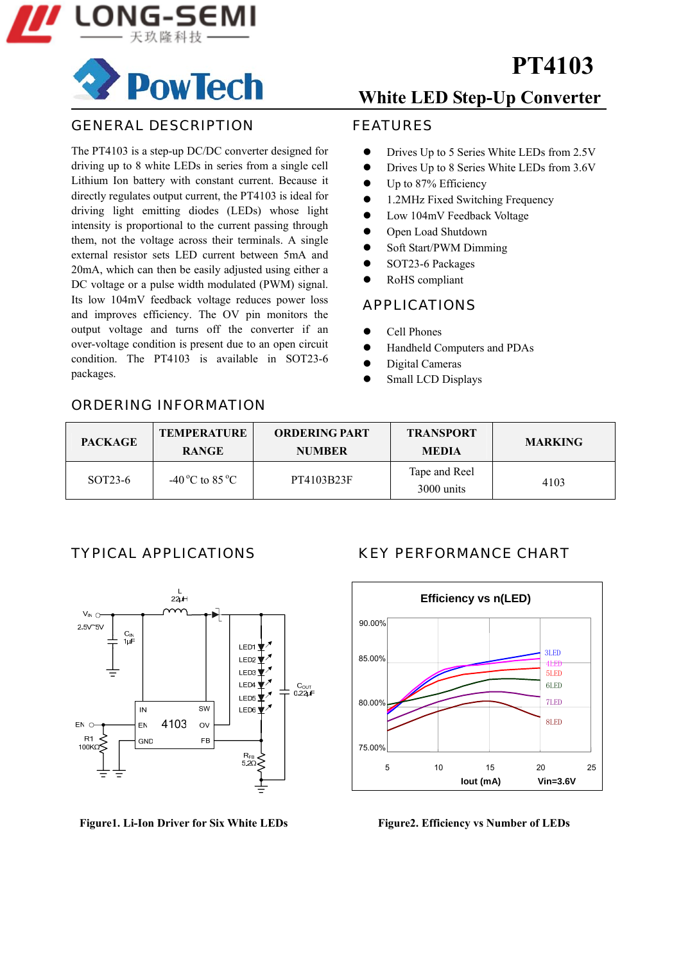

# **PowTech**

#### GENERAL DESCRIPTION

The PT4103 is a step-up DC/DC converter designed for driving up to 8 white LEDs in series from a single cell Lithium Ion battery with constant current. Because it directly regulates output current, the PT4103 is ideal for driving light emitting diodes (LEDs) whose light intensity is proportional to the current passing through them, not the voltage across their terminals. A single external resistor sets LED current between 5mA and 20mA, which can then be easily adjusted using either a DC voltage or a pulse width modulated (PWM) signal. Its low 104mV feedback voltage reduces power loss and improves efficiency. The OV pin monitors the output voltage and turns off the converter if an over-voltage condition is present due to an open circuit condition. The PT4103 is available in SOT23-6 packages.

## **White LED Step-Up Converter**

**PT4103**

#### FEATURES

- Drives Up to 5 Series White LEDs from 2.5V
- Drives Up to 8 Series White LEDs from 3.6V
- $\bullet$  Up to 87% Efficiency
- 1.2MHz Fixed Switching Frequency
- Low 104mV Feedback Voltage
- Open Load Shutdown
- Soft Start/PWM Dimming
- $\bullet$  SOT23-6 Packages
- RoHS compliant

#### APPLICATIONS

- Cell Phones
- Handheld Computers and PDAs
- Digital Cameras
- Small LCD Displays

#### ORDERING INFORMATION

| <b>PACKAGE</b>       | <b>TEMPERATURE</b><br><b>RANGE</b> | <b>ORDERING PART</b><br><b>NUMBER</b> | <b>TRANSPORT</b><br><b>MEDIA</b> | <b>MARKING</b> |
|----------------------|------------------------------------|---------------------------------------|----------------------------------|----------------|
| SOT <sub>23</sub> -6 | -40 °C to 85 °C                    | PT4103B23F                            | Tape and Reel<br>3000 units      | 4103           |



Figure1. Li-Ion Driver for Six White LEDs Figure2. Efficiency vs Number of LEDs

#### TYPICAL APPLICATIONS KEY PERFORMANCE CHART

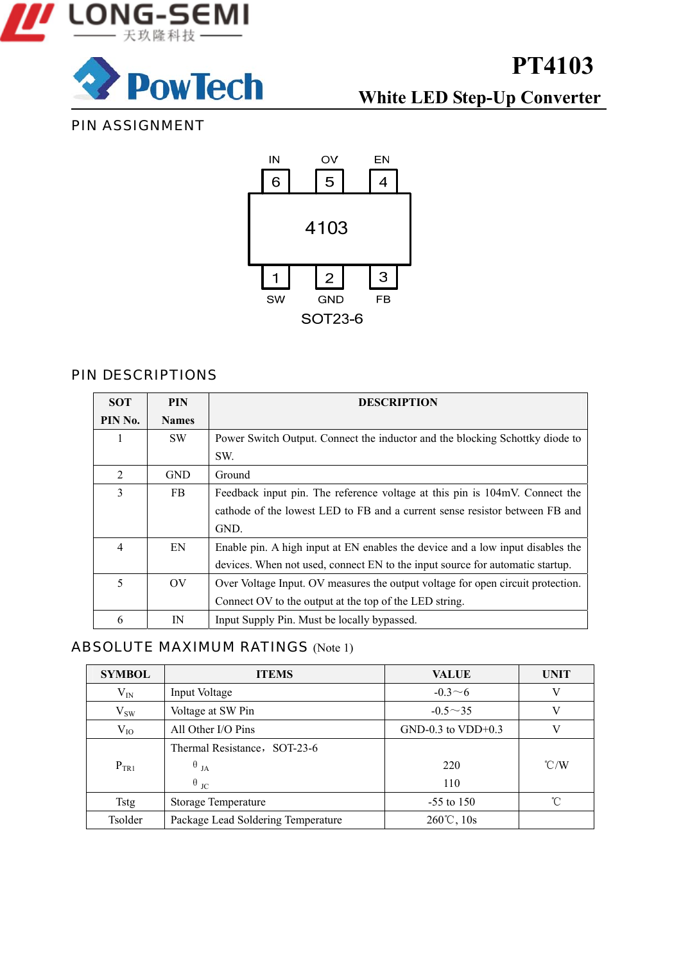



**White LED Step-Up Converter**

### PIN ASSIGNMENT



#### PIN DESCRIPTIONS

| <b>SOT</b>     | <b>PIN</b>      | <b>DESCRIPTION</b>                                                              |
|----------------|-----------------|---------------------------------------------------------------------------------|
| PIN No.        | <b>Names</b>    |                                                                                 |
|                | <b>SW</b>       | Power Switch Output. Connect the inductor and the blocking Schottky diode to    |
|                |                 | SW.                                                                             |
| $\mathfrak{D}$ | <b>GND</b>      | Ground                                                                          |
| 3              | FB.             | Feedback input pin. The reference voltage at this pin is 104mV. Connect the     |
|                |                 | cathode of the lowest LED to FB and a current sense resistor between FB and     |
|                |                 | GND.                                                                            |
| 4              | EN              | Enable pin. A high input at EN enables the device and a low input disables the  |
|                |                 | devices. When not used, connect EN to the input source for automatic startup.   |
| 5              | $\overline{O}V$ | Over Voltage Input. OV measures the output voltage for open circuit protection. |
|                |                 | Connect OV to the output at the top of the LED string.                          |
| 6              | IN              | Input Supply Pin. Must be locally bypassed.                                     |

### ABSOLUTE MAXIMUM RATINGS (Note 1)

| <b>SYMBOL</b> | <b>ITEMS</b>                       | <b>VALUE</b>           | <b>UNIT</b>   |
|---------------|------------------------------------|------------------------|---------------|
| $\rm V_{IN}$  | Input Voltage                      | $-0.3 \sim 6$          | V             |
| $V_{SW}$      | Voltage at SW Pin                  | $-0.5 \sim 35$         | V             |
| $V_{IO}$      | All Other I/O Pins                 | $GND-0.3$ to $VDD+0.3$ |               |
|               | Thermal Resistance, SOT-23-6       |                        |               |
| $P_{TR1}$     | $\theta$ <sub>JA</sub>             | 220                    | $\degree$ C/W |
|               | $\theta$ <sub>JC</sub>             | 110                    |               |
| <b>Tstg</b>   | <b>Storage Temperature</b>         | $-55$ to 150           | ิ่∩°          |
| Tsolder       | Package Lead Soldering Temperature | $260^{\circ}$ C, 10s   |               |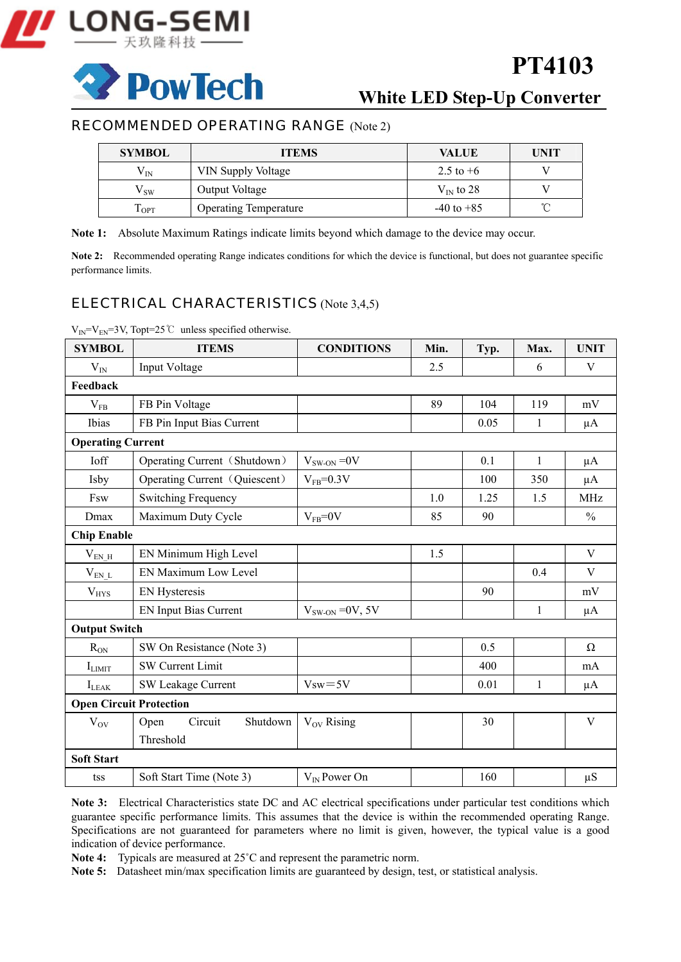

**PowTech** 

## **PT4103**

### **White LED Step-Up Converter**

#### RECOMMENDED OPERATING RANGE (Note 2)

| <b>SYMBOL</b>              | <b>ITEMS</b>                 | <b>VALUE</b>   | UNIT |
|----------------------------|------------------------------|----------------|------|
| $\rm V_{IN}$               | VIN Supply Voltage           | 2.5 to $+6$    |      |
| $\mathsf{v}_{\,\text{sw}}$ | Output Voltage               | $V_{IN}$ to 28 |      |
| $1_{\rm{OPT}}$             | <b>Operating Temperature</b> | $-40$ to $+85$ |      |

**Note 1:** Absolute Maximum Ratings indicate limits beyond which damage to the device may occur.

Note 2: Recommended operating Range indicates conditions for which the device is functional, but does not guarantee specific performance limits.

#### ELECTRICAL CHARACTERISTICS (Note 3,4,5)

| <b>SYMBOL</b>                  | <b>ITEMS</b>                  | <b>CONDITIONS</b> | Min. | Typ. | Max.         | <b>UNIT</b>   |  |
|--------------------------------|-------------------------------|-------------------|------|------|--------------|---------------|--|
| $V_{IN}$                       | Input Voltage                 |                   | 2.5  |      | 6            | V             |  |
| Feedback                       |                               |                   |      |      |              |               |  |
| $V_{FB}$                       | FB Pin Voltage                |                   | 89   | 104  | 119          | mV            |  |
| Ibias                          | FB Pin Input Bias Current     |                   |      | 0.05 | 1            | $\mu A$       |  |
| <b>Operating Current</b>       |                               |                   |      |      |              |               |  |
| Ioff                           | Operating Current (Shutdown)  | $V_{SW-ON} = 0V$  |      | 0.1  | $\mathbf{1}$ | $\mu A$       |  |
| Isby                           | Operating Current (Quiescent) | $V_{FB} = 0.3 V$  |      | 100  | 350          | $\mu A$       |  |
| Fsw                            | <b>Switching Frequency</b>    |                   | 1.0  | 1.25 | 1.5          | <b>MHz</b>    |  |
| Dmax                           | Maximum Duty Cycle            | $V_{FB} = 0V$     | 85   | 90   |              | $\frac{0}{0}$ |  |
| <b>Chip Enable</b>             |                               |                   |      |      |              |               |  |
| $V_{EN\_H}$                    | EN Minimum High Level         |                   | 1.5  |      |              | V             |  |
| $V_{EN\_L}$                    | EN Maximum Low Level          |                   |      |      | 0.4          | V             |  |
| $V_{HYS}$                      | <b>EN Hysteresis</b>          |                   |      | 90   |              | mV            |  |
|                                | <b>EN Input Bias Current</b>  | $VSW-ON = 0V, 5V$ |      |      | $\mathbf{1}$ | $\mu A$       |  |
| <b>Output Switch</b>           |                               |                   |      |      |              |               |  |
| $R_{ON}$                       | SW On Resistance (Note 3)     |                   |      | 0.5  |              | Ω             |  |
| $I_{LIMIT}$                    | <b>SW Current Limit</b>       |                   |      | 400  |              | mA            |  |
| $I_{LEAK}$                     | SW Leakage Current            | $Vsw = 5V$        |      | 0.01 | $\mathbf{1}$ | $\mu A$       |  |
| <b>Open Circuit Protection</b> |                               |                   |      |      |              |               |  |
| $V_{\rm OV}$                   | Circuit<br>Shutdown<br>Open   | $V_{OV}$ Rising   |      | 30   |              | V             |  |
|                                | Threshold                     |                   |      |      |              |               |  |
| <b>Soft Start</b>              |                               |                   |      |      |              |               |  |
| tss                            | Soft Start Time (Note 3)      | $V_{IN}$ Power On |      | 160  |              | $\mu S$       |  |

 $V_{IN} = V_{EN} = 3V$ , Topt=25 °C unless specified otherwise.

**Note 3:** Electrical Characteristics state DC and AC electrical specifications under particular test conditions which guarantee specific performance limits. This assumes that the device is within the recommended operating Range. Specifications are not guaranteed for parameters where no limit is given, however, the typical value is a good indication of device performance.

**Note 4:** Typicals are measured at 25˚C and represent the parametric norm.

**Note 5:** Datasheet min/max specification limits are guaranteed by design, test, or statistical analysis.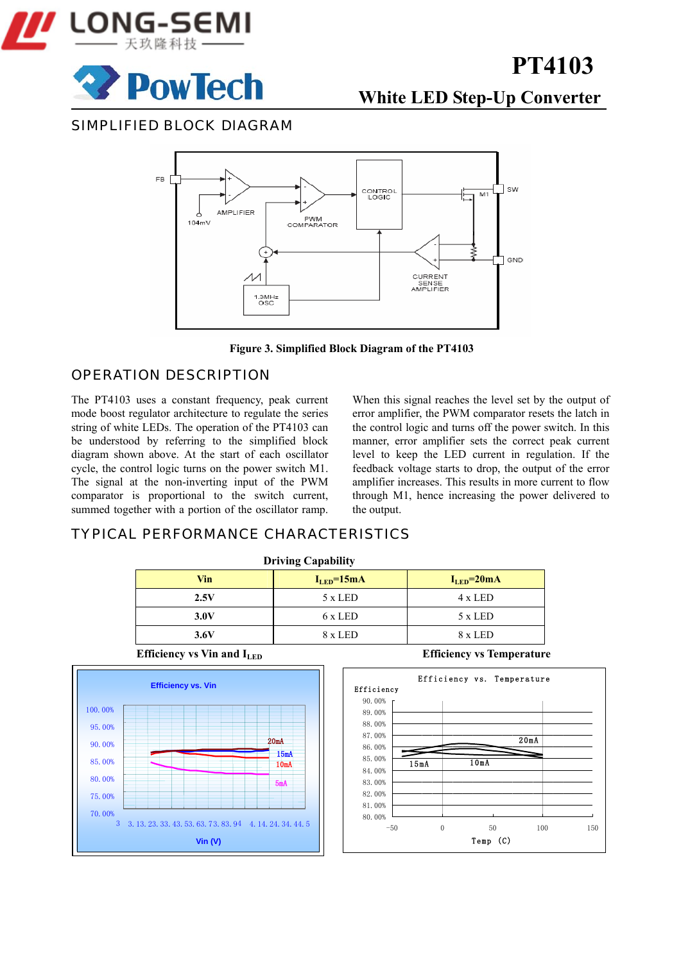



## **White LED Step-Up Converter**

SIMPLIFIED BLOCK DIAGRAM



**Figure 3. Simplified Block Diagram of the PT4103** 

#### OPERATION DESCRIPTION

The PT4103 uses a constant frequency, peak current mode boost regulator architecture to regulate the series string of white LEDs. The operation of the PT4103 can be understood by referring to the simplified block diagram shown above. At the start of each oscillator cycle, the control logic turns on the power switch M1. The signal at the non-inverting input of the PWM comparator is proportional to the switch current, summed together with a portion of the oscillator ramp.

When this signal reaches the level set by the output of error amplifier, the PWM comparator resets the latch in the control logic and turns off the power switch. In this manner, error amplifier sets the correct peak current level to keep the LED current in regulation. If the feedback voltage starts to drop, the output of the error amplifier increases. This results in more current to flow through M1, hence increasing the power delivered to the output.

#### TYPICAL PERFORMANCE CHARACTERISTICS

| <b>Driving Capability</b> |                  |                                   |  |  |  |
|---------------------------|------------------|-----------------------------------|--|--|--|
| Vin                       | $I_{LED} = 20mA$ |                                   |  |  |  |
| 2.5V                      | 5 x LED          | 4 x LED                           |  |  |  |
| 3.0V                      | 6 x LED          | $5 \times LED$                    |  |  |  |
| 3.6V                      | 8 x LED          | 8 x LED                           |  |  |  |
| $    -$<br>$  -$          |                  | _____<br>$\overline{\phantom{a}}$ |  |  |  |



**Efficiency vs Vin and I<sub>LED</sub> Efficiency vs Temperature** 

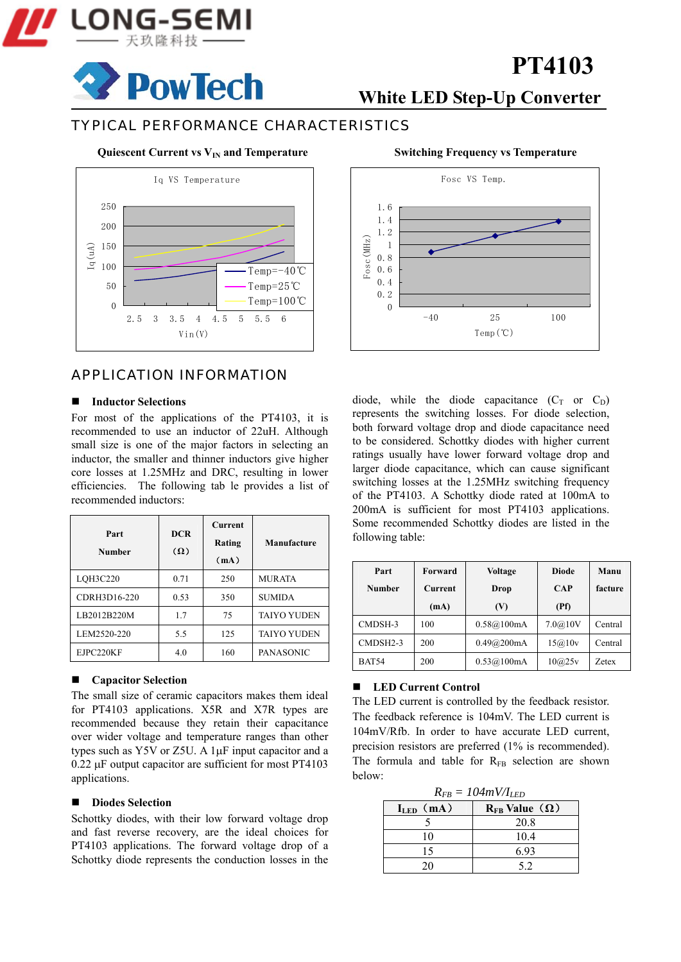

## **PowTech**

## **White LED Step-Up Converter**

**PT4103**

#### TYPICAL PERFORMANCE CHARACTERISTICS

#### **Quiescent Current vs V<sub>IN</sub> and Temperature**



#### APPLICATION INFORMATION

#### **Inductor Selections**

For most of the applications of the PT4103, it is recommended to use an inductor of 22uH. Although small size is one of the major factors in selecting an inductor, the smaller and thinner inductors give higher core losses at 1.25MHz and DRC, resulting in lower efficiencies. The following tab le provides a list of recommended inductors:

| Part<br><b>Number</b> | <b>DCR</b><br>$(\Omega)$ | <b>Current</b><br>Rating<br>(mA) | Manufacture        |
|-----------------------|--------------------------|----------------------------------|--------------------|
| LOH3C220              | 0.71                     | 250                              | <b>MURATA</b>      |
| CDRH3D16-220          | 0.53                     | 350                              | <b>SUMIDA</b>      |
| LB2012B220M           | 1.7                      | 75                               | <b>TAIYO YUDEN</b> |
| LEM2520-220           | 5.5                      | 125                              | <b>TAIYO YUDEN</b> |
| EJPC220KF             | 4.0                      | 160                              | <b>PANASONIC</b>   |

#### **Capacitor Selection**

The small size of ceramic capacitors makes them ideal for PT4103 applications. X5R and X7R types are recommended because they retain their capacitance over wider voltage and temperature ranges than other types such as Y5V or Z5U. A 1μF input capacitor and a 0.22 μF output capacitor are sufficient for most PT4103 applications.

#### ■ Diodes Selection

Schottky diodes, with their low forward voltage drop and fast reverse recovery, are the ideal choices for PT4103 applications. The forward voltage drop of a Schottky diode represents the conduction losses in the



diode, while the diode capacitance  $(C_T \text{ or } C_D)$ represents the switching losses. For diode selection, both forward voltage drop and diode capacitance need to be considered. Schottky diodes with higher current ratings usually have lower forward voltage drop and larger diode capacitance, which can cause significant switching losses at the 1.25MHz switching frequency of the PT4103. A Schottky diode rated at 100mA to 200mA is sufficient for most PT4103 applications. Some recommended Schottky diodes are listed in the following table:

| Part          | Forward | <b>Voltage</b> | <b>Diode</b> | Manu         |
|---------------|---------|----------------|--------------|--------------|
| <b>Number</b> | Current | Drop           | <b>CAP</b>   |              |
|               | (mA)    | (V)            | (Pf)         |              |
| CMDSH-3       | 100     | 0.58@100mA     | 7.0@10V      | Central      |
| CMDSH2-3      | 200     | 0.49@200mA     | 15@10v       | Central      |
| <b>BAT54</b>  | 200     | 0.53@100mA     | 10@25v       | <b>Zetex</b> |

#### ■ **LED Current Control**

The LED current is controlled by the feedback resistor. The feedback reference is 104mV. The LED current is 104mV/Rfb. In order to have accurate LED current, precision resistors are preferred (1% is recommended). The formula and table for  $R_{FB}$  selection are shown below:

| $R_{FB} = 104mV/I_{LED}$                    |      |  |  |  |
|---------------------------------------------|------|--|--|--|
| $I_{LED}$ (mA)<br>$R_{FB}$ Value $(\Omega)$ |      |  |  |  |
|                                             | 20.8 |  |  |  |
| 10                                          | 10.4 |  |  |  |
| 15                                          | 693  |  |  |  |
| 20                                          | 52   |  |  |  |

#### **Switching Frequency vs Temperature**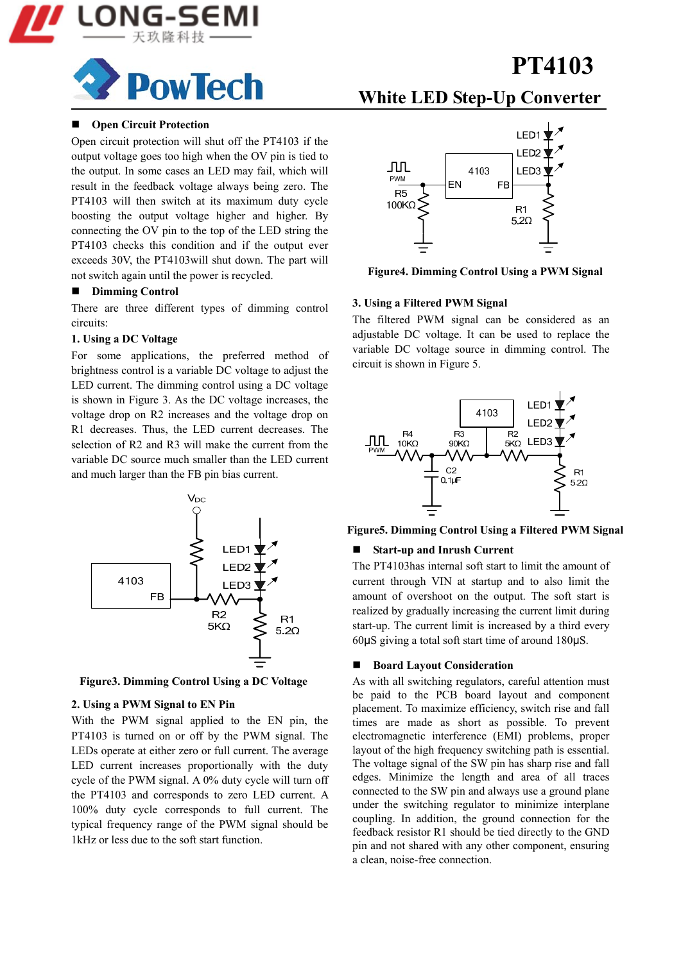

## **PowTech**

#### **Open Circuit Protection**

Open circuit protection will shut off the PT4103 if the output voltage goes too high when the OV pin is tied to the output. In some cases an LED may fail, which will result in the feedback voltage always being zero. The PT4103 will then switch at its maximum duty cycle boosting the output voltage higher and higher. By connecting the OV pin to the top of the LED string the PT4103 checks this condition and if the output ever exceeds 30V, the PT4103will shut down. The part will not switch again until the power is recycled.

#### **Dimming Control**

There are three different types of dimming control circuits:

#### **1. Using a DC Voltage**

For some applications, the preferred method of brightness control is a variable DC voltage to adjust the LED current. The dimming control using a DC voltage is shown in Figure 3. As the DC voltage increases, the voltage drop on R2 increases and the voltage drop on R1 decreases. Thus, the LED current decreases. The selection of R2 and R3 will make the current from the variable DC source much smaller than the LED current and much larger than the FB pin bias current.



**Figure3. Dimming Control Using a DC Voltage** 

#### **2. Using a PWM Signal to EN Pin**

With the PWM signal applied to the EN pin, the PT4103 is turned on or off by the PWM signal. The LEDs operate at either zero or full current. The average LED current increases proportionally with the duty cycle of the PWM signal. A 0% duty cycle will turn off the PT4103 and corresponds to zero LED current. A 100% duty cycle corresponds to full current. The typical frequency range of the PWM signal should be 1kHz or less due to the soft start function.

### **White LED Step-Up Converter**



**Figure4. Dimming Control Using a PWM Signal** 

#### **3. Using a Filtered PWM Signal**

The filtered PWM signal can be considered as an adjustable DC voltage. It can be used to replace the variable DC voltage source in dimming control. The circuit is shown in Figure 5.



#### **Figure5. Dimming Control Using a Filtered PWM Signal**

#### **Start-up and Inrush Current**

The PT4103has internal soft start to limit the amount of current through VIN at startup and to also limit the amount of overshoot on the output. The soft start is realized by gradually increasing the current limit during start-up. The current limit is increased by a third every 60μS giving a total soft start time of around 180μS.

#### **Board Layout Consideration**

As with all switching regulators, careful attention must be paid to the PCB board layout and component placement. To maximize efficiency, switch rise and fall times are made as short as possible. To prevent electromagnetic interference (EMI) problems, proper layout of the high frequency switching path is essential. The voltage signal of the SW pin has sharp rise and fall edges. Minimize the length and area of all traces connected to the SW pin and always use a ground plane under the switching regulator to minimize interplane coupling. In addition, the ground connection for the feedback resistor R1 should be tied directly to the GND pin and not shared with any other component, ensuring a clean, noise-free connection.